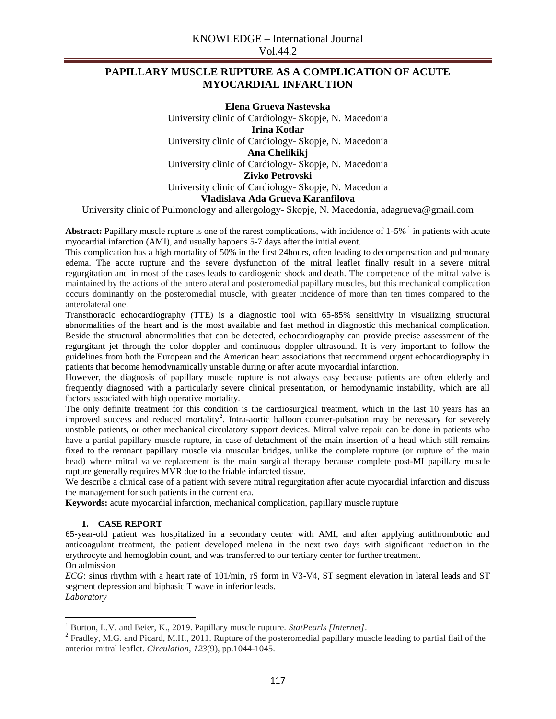# **PAPILLARY MUSCLE RUPTURE AS A COMPLICATION OF ACUTE MYOCARDIAL INFARCTION**

**Elena Grueva Nastevska** University clinic of Cardiology- Skopje, N. Macedonia **Irina Kotlar** University clinic of Cardiology- Skopje, N. Macedonia **Ana Chelikikj** University clinic of Cardiology- Skopje, N. Macedonia **Zivko Petrovski** University clinic of Cardiology- Skopje, N. Macedonia **Vladislava Ada Grueva Karanfilova**

University clinic of Pulmonology and allergology- Skopje, N. Macedonia, adagrueva@gmail.com

Abstract: Papillary muscle rupture is one of the rarest complications, with incidence of 1-5% <sup>1</sup> in patients with acute myocardial infarction (AMI), and usually happens 5-7 days after the initial event.

This complication has a high mortality of 50% in the first 24hours, often leading to decompensation and pulmonary edema. The acute rupture and the severe dysfunction of the mitral leaflet finally result in a severe mitral regurgitation and in most of the cases leads to cardiogenic shock and death. The competence of the mitral valve is maintained by the actions of the anterolateral and posteromedial papillary muscles, but this mechanical complication occurs dominantly on the posteromedial muscle, with greater incidence of more than ten times compared to the anterolateral one.

Transthoracic echocardiography (TTE) is a diagnostic tool with 65-85% sensitivity in visualizing structural abnormalities of the heart and is the most available and fast method in diagnostic this mechanical complication. Beside the structural abnormalities that can be detected, echocardiography can provide precise assessment of the regurgitant jet through the color doppler and continuous doppler ultrasound. It is very important to follow the guidelines from both the European and the American heart associations that recommend urgent echocardiography in patients that become hemodynamically unstable during or after acute myocardial infarction.

However, the diagnosis of papillary muscle rupture is not always easy because patients are often elderly and frequently diagnosed with a particularly severe clinical presentation, or hemodynamic instability, which are all factors associated with high operative mortality.

The only definite treatment for this condition is the cardiosurgical treatment, which in the last 10 years has an improved success and reduced mortality<sup>2</sup>. Intra-aortic balloon counter-pulsation may be necessary for severely unstable patients, or other mechanical circulatory support devices. Mitral valve repair can be done in patients who have a partial papillary muscle rupture, in case of detachment of the main insertion of a head which still remains fixed to the remnant papillary muscle via muscular bridges, unlike the complete rupture (or rupture of the main head) where mitral valve replacement is the main surgical therapy because complete post-MI papillary muscle rupture generally requires MVR due to the friable infarcted tissue.

We describe a clinical case of a patient with severe mitral regurgitation after acute myocardial infarction and discuss the management for such patients in the current era.

**Keywords:** acute myocardial infarction, mechanical complication, papillary muscle rupture

### **1. CASE REPORT**

 $\overline{\phantom{a}}$ 

65-year-old patient was hospitalized in a secondary center with AMI, and after applying antithrombotic and anticoagulant treatment, the patient developed melena in the next two days with significant reduction in the erythrocyte and hemoglobin count, and was transferred to our tertiary center for further treatment. On admission

*ECG*: sinus rhythm with a heart rate of 101/min, rS form in V3-V4, ST segment elevation in lateral leads and ST segment depression and biphasic T wave in inferior leads. *Laboratory* 

<sup>&</sup>lt;sup>1</sup> Burton, L.V. and Beier, K., 2019. Papillary muscle rupture. *StatPearls [Internet]*.

 $2^2$  Fradley, M.G. and Picard, M.H., 2011. Rupture of the posteromedial papillary muscle leading to partial flail of the anterior mitral leaflet. *Circulation*, *123*(9), pp.1044-1045.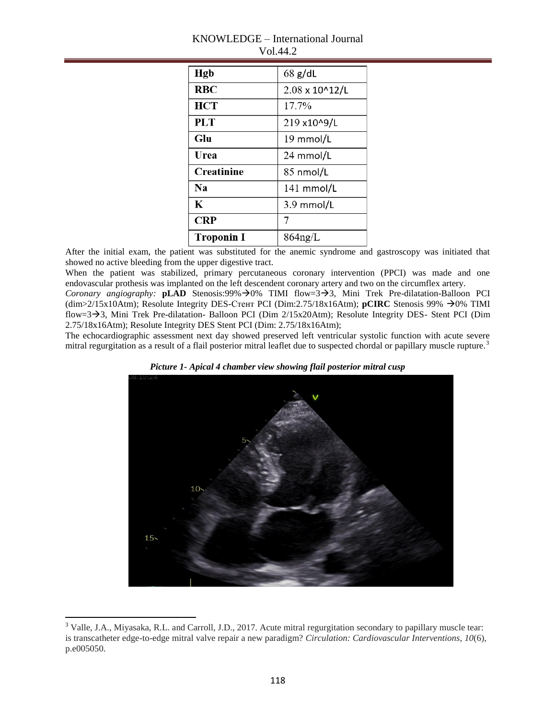| Hgb               | $68$ g/dL      |
|-------------------|----------------|
| RBC               | 2.08 x 10^12/L |
| <b>HCT</b>        | 17.7%          |
| PLT               | 219 x10^9/L    |
| Glu               | 19 mmol/L      |
| Urea              | 24 mmol/L      |
| <b>Creatinine</b> | 85 nmol/L      |
| N <sub>2</sub>    | $141$ mmol/L   |
| K                 | 3.9 mmol/L     |
| <b>CRP</b>        | 7              |
| <b>Troponin I</b> | $864$ ng/L     |

## KNOWLEDGE – International Journal Vol.44.2

After the initial exam, the patient was substituted for the anemic syndrome and gastroscopy was initiated that showed no active bleeding from the upper digestive tract.

When the patient was stabilized, primary percutaneous coronary intervention (PPCI) was made and one endovascular prothesis was implanted on the left descendent coronary artery and two on the circumflex artery.

*Coronary angiography:* **pLAD** Stenosis:99% $\rightarrow$ 0% TIMI flow=3 $\rightarrow$ 3, Mini Trek Pre-dilatation-Balloon PCI (dim>2/15x10Atm); Resolute Integrity DES-Стент PCI (Dim:2.75/18x16Atm); **pCIRC** Stenosis 99%  $\rightarrow$  0% TIMI flow=33, Mini Trek Pre-dilatation- Balloon PCI (Dim 2/15x20Atm); Resolute Integrity DES- Stent PCI (Dim 2.75/18x16Atm); Resolute Integrity DES Stent PCI (Dim: 2.75/18x16Atm);

The echocardiographic assessment next day showed preserved left ventricular systolic function with acute severe mitral regurgitation as a result of a flail posterior mitral leaflet due to suspected chordal or papillary muscle rupture.<sup>3</sup>





 $3$  Valle, J.A., Miyasaka, R.L. and Carroll, J.D., 2017. Acute mitral regurgitation secondary to papillary muscle tear: is transcatheter edge-to-edge mitral valve repair a new paradigm? *Circulation: Cardiovascular Interventions*, *10*(6), p.e005050.

 $\overline{\phantom{a}}$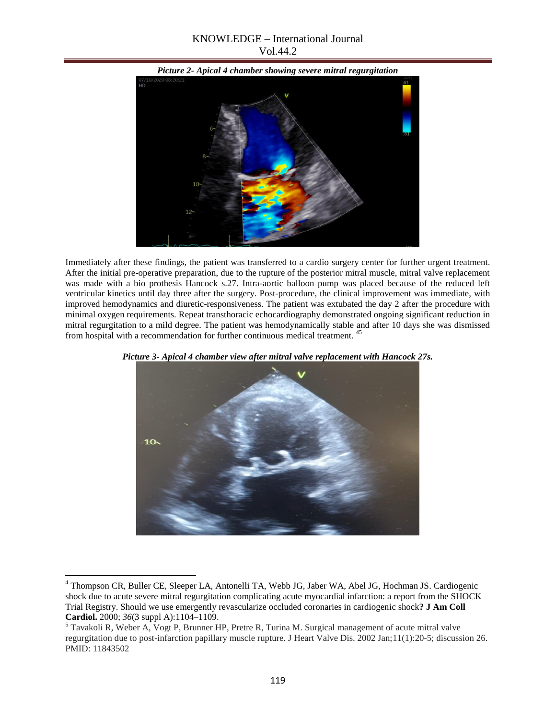## KNOWLEDGE – International Journal Vol.44.2



Immediately after these findings, the patient was transferred to a cardio surgery center for further urgent treatment. After the initial pre-operative preparation, due to the rupture of the posterior mitral muscle, mitral valve replacement was made with a bio prothesis Hancock s.27. Intra-aortic balloon pump was placed because of the reduced left ventricular kinetics until day three after the surgery. Post-procedure, the clinical improvement was immediate, with improved hemodynamics and diuretic-responsiveness. The patient was extubated the day 2 after the procedure with minimal oxygen requirements. Repeat transthoracic echocardiography demonstrated ongoing significant reduction in mitral regurgitation to a mild degree. The patient was hemodynamically stable and after 10 days she was dismissed from hospital with a recommendation for further continuous medical treatment. <sup>45</sup>



*Picture 3- Apical 4 chamber view after mitral valve replacement with Hancock 27s.*

 $\overline{\phantom{a}}$ 

<sup>4</sup> Thompson CR, Buller CE, Sleeper LA, Antonelli TA, Webb JG, Jaber WA, Abel JG, Hochman JS. Cardiogenic shock due to acute severe mitral regurgitation complicating acute myocardial infarction: a report from the SHOCK Trial Registry. Should we use emergently revascularize occluded coronaries in cardiogenic shock**? J Am Coll Cardiol.** 2000; *36*(3 suppl A):1104–1109.

<sup>5</sup> Tavakoli R, Weber A, Vogt P, Brunner HP, Pretre R, Turina M. Surgical management of acute mitral valve regurgitation due to post-infarction papillary muscle rupture. J Heart Valve Dis. 2002 Jan;11(1):20-5; discussion 26. PMID: 11843502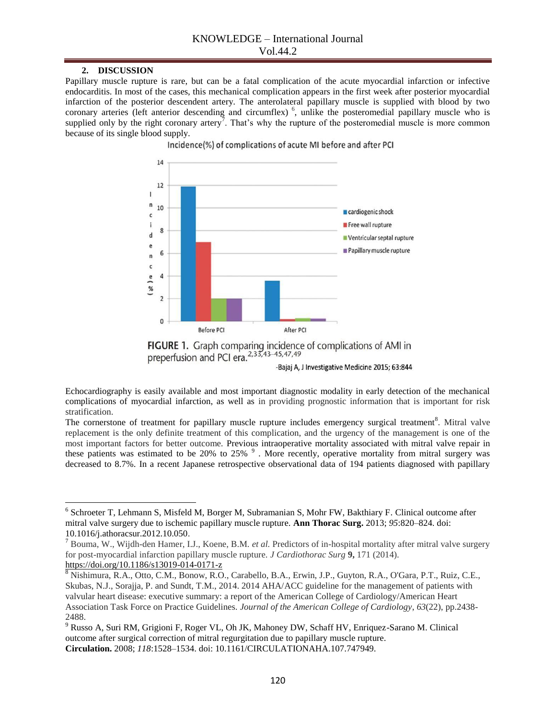### **2. DISCUSSION**

Papillary muscle rupture is rare, but can be a fatal complication of the acute myocardial infarction or infective endocarditis. In most of the cases, this mechanical complication appears in the first week after posterior myocardial infarction of the posterior descendent artery. The anterolateral papillary muscle is supplied with blood by two coronary arteries (left anterior descending and circumflex)<sup>6</sup>, unlike the posteromedial papillary muscle who is supplied only by the right coronary artery<sup>7</sup>. That's why the rupture of the posteromedial muscle is more common because of its single blood supply.

Incidence(%) of complications of acute MI before and after PCI





Echocardiography is easily available and most important diagnostic modality in early detection of the mechanical complications of myocardial infarction, as well as in providing prognostic information that is important for risk stratification.

The cornerstone of treatment for papillary muscle rupture includes emergency surgical treatment<sup>8</sup>. Mitral valve replacement is the only definite treatment of this complication, and the urgency of the management is one of the most important factors for better outcome. Previous intraoperative mortality associated with mitral valve repair in these patients was estimated to be 20% to 25%  $9$ . More recently, operative mortality from mitral surgery was decreased to 8.7%. In a recent Japanese retrospective observational data of 194 patients diagnosed with papillary

 6 Schroeter T, Lehmann S, Misfeld M, Borger M, Subramanian S, Mohr FW, Bakthiary F. Clinical outcome after mitral valve surgery due to ischemic papillary muscle rupture. **Ann Thorac Surg.** 2013; *95*:820–824. doi: 10.1016/j.athoracsur.2012.10.050.

<sup>7</sup> Bouma, W., Wijdh-den Hamer, I.J., Koene, B.M. *et al.* Predictors of in-hospital mortality after mitral valve surgery for post-myocardial infarction papillary muscle rupture. *J Cardiothorac Surg* **9,** 171 (2014). <https://doi.org/10.1186/s13019-014-0171-z>

<sup>&</sup>lt;sup>8</sup> Nishimura, R.A., Otto, C.M., Bonow, R.O., Carabello, B.A., Erwin, J.P., Guyton, R.A., O'Gara, P.T., Ruiz, C.E., Skubas, N.J., Sorajja, P. and Sundt, T.M., 2014. 2014 AHA/ACC guideline for the management of patients with valvular heart disease: executive summary: a report of the American College of Cardiology/American Heart Association Task Force on Practice Guidelines. *Journal of the American College of Cardiology*, *63*(22), pp.2438- 2488.

<sup>9</sup> Russo A, Suri RM, Grigioni F, Roger VL, Oh JK, Mahoney DW, Schaff HV, Enriquez-Sarano M. Clinical outcome after surgical correction of mitral regurgitation due to papillary muscle rupture. **Circulation.** 2008; *118*:1528–1534. doi: 10.1161/CIRCULATIONAHA.107.747949.